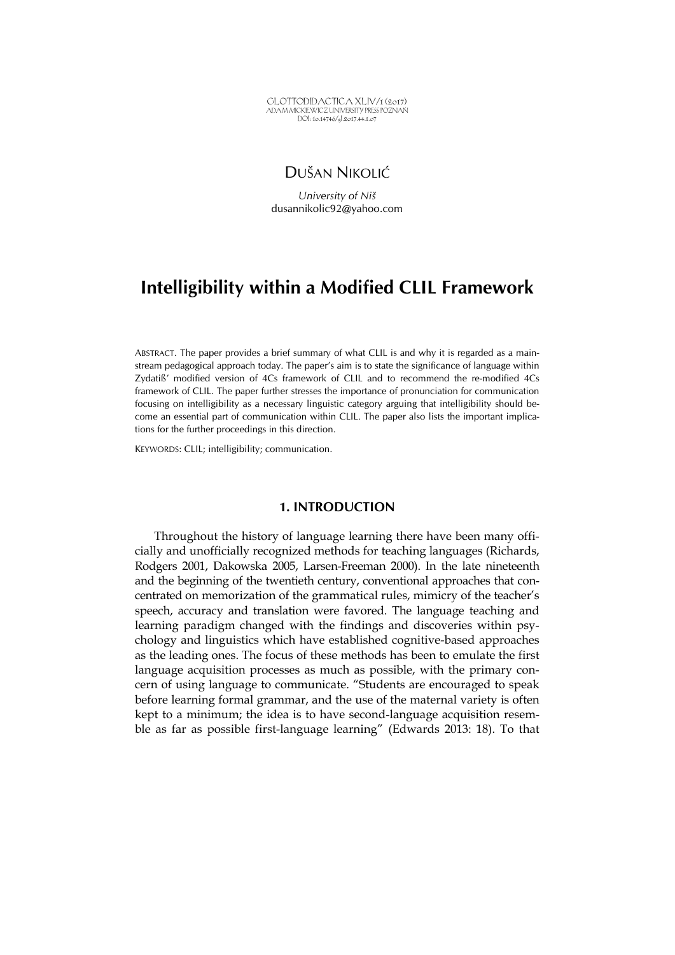GLOTTODIDACTICA XLIV/1 (2017) ADAM MICKIEWICZ UNIVERSITY PRESS POZNAŃ DOI: 10.14746/gl.2017.44.1.07

# DUŠAN NIKOLIĆ

*University of Niš*  dusannikolic92@yahoo.com

# **Intelligibility within a Modified CLIL Framework**

ABSTRACT. The paper provides a brief summary of what CLIL is and why it is regarded as a mainstream pedagogical approach today. The paper's aim is to state the significance of language within Zydatiß' modified version of 4Cs framework of CLIL and to recommend the re-modified 4Cs framework of CLIL. The paper further stresses the importance of pronunciation for communication focusing on intelligibility as a necessary linguistic category arguing that intelligibility should become an essential part of communication within CLIL. The paper also lists the important implications for the further proceedings in this direction.

KEYWORDS: CLIL; intelligibility; communication.

# **1. INTRODUCTION**

Throughout the history of language learning there have been many officially and unofficially recognized methods for teaching languages (Richards, Rodgers 2001, Dakowska 2005, Larsen-Freeman 2000). In the late nineteenth and the beginning of the twentieth century, conventional approaches that concentrated on memorization of the grammatical rules, mimicry of the teacher's speech, accuracy and translation were favored. The language teaching and learning paradigm changed with the findings and discoveries within psychology and linguistics which have established cognitive-based approaches as the leading ones. The focus of these methods has been to emulate the first language acquisition processes as much as possible, with the primary concern of using language to communicate. "Students are encouraged to speak before learning formal grammar, and the use of the maternal variety is often kept to a minimum; the idea is to have second-language acquisition resemble as far as possible first-language learning" (Edwards 2013: 18). To that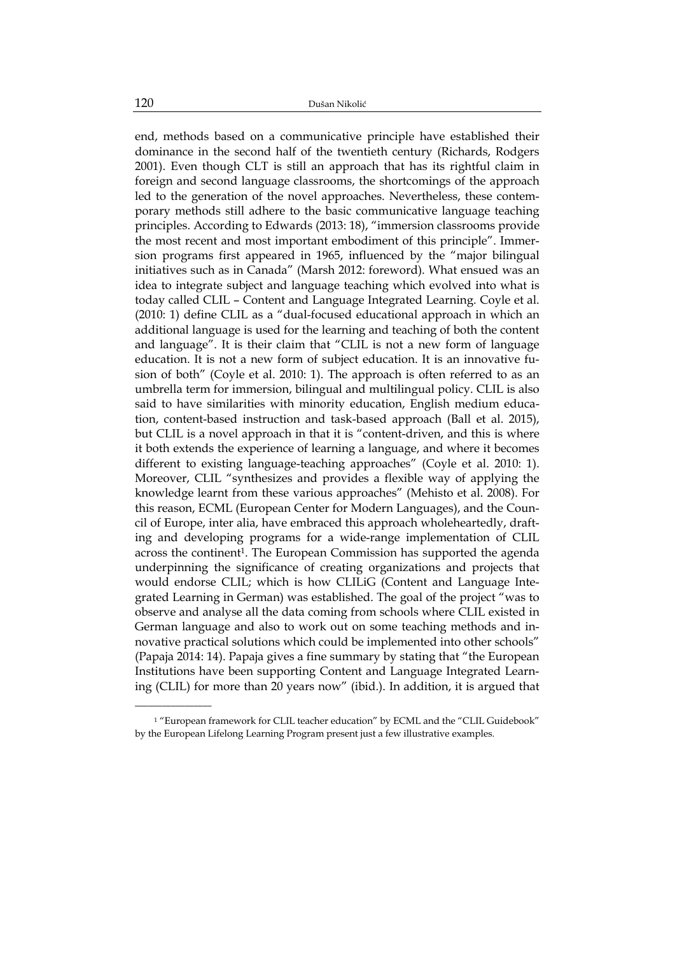end, methods based on a communicative principle have established their dominance in the second half of the twentieth century (Richards, Rodgers 2001). Even though CLT is still an approach that has its rightful claim in foreign and second language classrooms, the shortcomings of the approach led to the generation of the novel approaches. Nevertheless, these contemporary methods still adhere to the basic communicative language teaching principles. According to Edwards (2013: 18), "immersion classrooms provide the most recent and most important embodiment of this principle". Immersion programs first appeared in 1965, influenced by the "major bilingual initiatives such as in Canada" (Marsh 2012: foreword). What ensued was an idea to integrate subject and language teaching which evolved into what is today called CLIL – Content and Language Integrated Learning. Coyle et al. (2010: 1) define CLIL as a "dual-focused educational approach in which an additional language is used for the learning and teaching of both the content and language". It is their claim that "CLIL is not a new form of language education. It is not a new form of subject education. It is an innovative fusion of both" (Coyle et al. 2010: 1). The approach is often referred to as an umbrella term for immersion, bilingual and multilingual policy. CLIL is also said to have similarities with minority education, English medium education, content-based instruction and task-based approach (Ball et al. 2015), but CLIL is a novel approach in that it is "content-driven, and this is where it both extends the experience of learning a language, and where it becomes different to existing language-teaching approaches" (Coyle et al. 2010: 1). Moreover, CLIL "synthesizes and provides a flexible way of applying the knowledge learnt from these various approaches" (Mehisto et al. 2008). For this reason, ECML (European Center for Modern Languages), and the Council of Europe, inter alia, have embraced this approach wholeheartedly, drafting and developing programs for a wide-range implementation of CLIL across the continent<sup>1</sup>. The European Commission has supported the agenda underpinning the significance of creating organizations and projects that would endorse CLIL; which is how CLILiG (Content and Language Integrated Learning in German) was established. The goal of the project "was to observe and analyse all the data coming from schools where CLIL existed in German language and also to work out on some teaching methods and innovative practical solutions which could be implemented into other schools" (Papaja 2014: 14). Papaja gives a fine summary by stating that "the European Institutions have been supporting Content and Language Integrated Learning (CLIL) for more than 20 years now" (ibid.). In addition, it is argued that

\_\_\_\_\_\_\_\_\_\_\_\_\_\_\_\_\_

<sup>&</sup>lt;sup>1</sup> "European framework for CLIL teacher education" by ECML and the "CLIL Guidebook" by the European Lifelong Learning Program present just a few illustrative examples.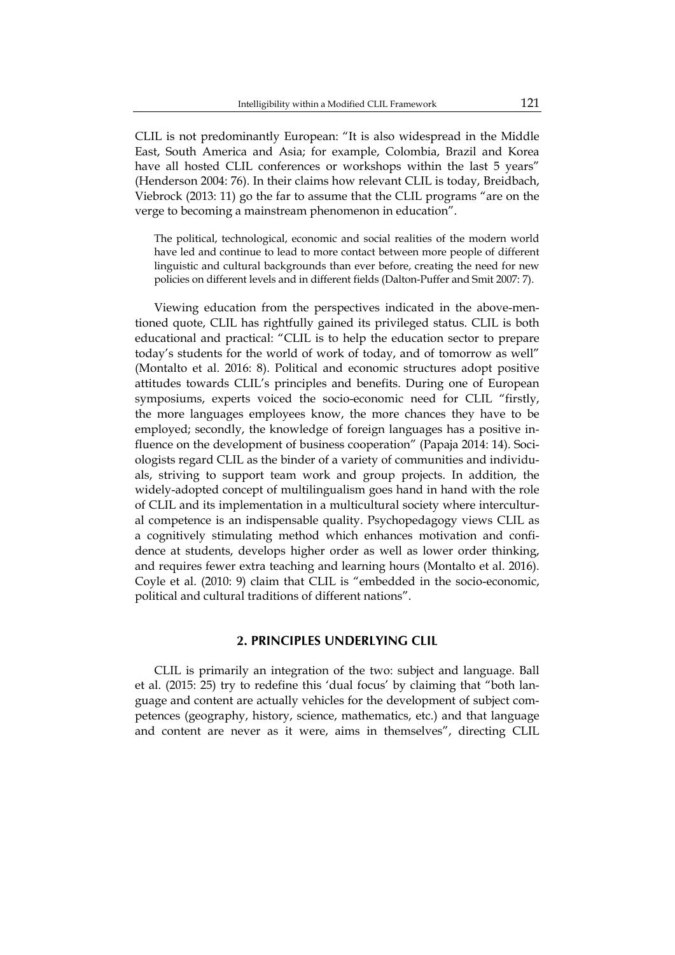CLIL is not predominantly European: "It is also widespread in the Middle East, South America and Asia; for example, Colombia, Brazil and Korea have all hosted CLIL conferences or workshops within the last 5 years" (Henderson 2004: 76). In their claims how relevant CLIL is today, Breidbach, Viebrock (2013: 11) go the far to assume that the CLIL programs "are on the verge to becoming a mainstream phenomenon in education".

The political, technological, economic and social realities of the modern world have led and continue to lead to more contact between more people of different linguistic and cultural backgrounds than ever before, creating the need for new policies on different levels and in different fields (Dalton-Puffer and Smit 2007: 7).

Viewing education from the perspectives indicated in the above-mentioned quote, CLIL has rightfully gained its privileged status. CLIL is both educational and practical: "CLIL is to help the education sector to prepare today's students for the world of work of today, and of tomorrow as well" (Montalto et al. 2016: 8). Political and economic structures adopt positive attitudes towards CLIL's principles and benefits. During one of European symposiums, experts voiced the socio-economic need for CLIL "firstly, the more languages employees know, the more chances they have to be employed; secondly, the knowledge of foreign languages has a positive influence on the development of business cooperation" (Papaja 2014: 14). Sociologists regard CLIL as the binder of a variety of communities and individuals, striving to support team work and group projects. In addition, the widely-adopted concept of multilingualism goes hand in hand with the role of CLIL and its implementation in a multicultural society where intercultural competence is an indispensable quality. Psychopedagogy views CLIL as a cognitively stimulating method which enhances motivation and confidence at students, develops higher order as well as lower order thinking, and requires fewer extra teaching and learning hours (Montalto et al. 2016). Coyle et al. (2010: 9) claim that CLIL is "embedded in the socio-economic, political and cultural traditions of different nations".

#### **2. PRINCIPLES UNDERLYING CLIL**

CLIL is primarily an integration of the two: subject and language. Ball et al. (2015: 25) try to redefine this 'dual focus' by claiming that "both language and content are actually vehicles for the development of subject competences (geography, history, science, mathematics, etc.) and that language and content are never as it were, aims in themselves", directing CLIL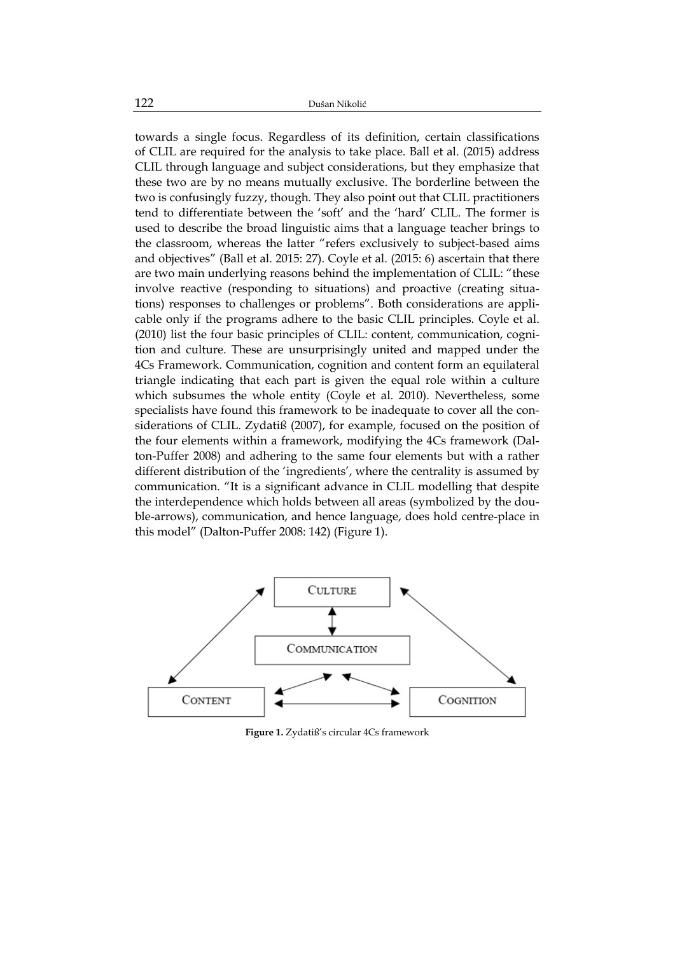towards a single focus. Regardless of its definition, certain classifications of CLIL are required for the analysis to take place. Ball et al. (2015) address CLIL through language and subject considerations, but they emphasize that these two are by no means mutually exclusive. The borderline between the two is confusingly fuzzy, though. They also point out that CLIL practitioners tend to differentiate between the 'soft' and the 'hard' CLIL. The former is used to describe the broad linguistic aims that a language teacher brings to the classroom, whereas the latter "refers exclusively to subject-based aims and objectives" (Ball et al. 2015: 27). Coyle et al. (2015: 6) ascertain that there are two main underlying reasons behind the implementation of CLIL: "these involve reactive (responding to situations) and proactive (creating situations) responses to challenges or problems". Both considerations are applicable only if the programs adhere to the basic CLIL principles. Coyle et al. (2010) list the four basic principles of CLIL: content, communication, cognition and culture. These are unsurprisingly united and mapped under the 4Cs Framework. Communication, cognition and content form an equilateral triangle indicating that each part is given the equal role within a culture which subsumes the whole entity (Coyle et al. 2010). Nevertheless, some specialists have found this framework to be inadequate to cover all the considerations of CLIL. Zydatiß (2007), for example, focused on the position of the four elements within a framework, modifying the 4Cs framework (Dalton-Puffer 2008) and adhering to the same four elements but with a rather different distribution of the 'ingredients', where the centrality is assumed by communication. "It is a significant advance in CLIL modelling that despite the interdependence which holds between all areas (symbolized by the double-arrows), communication, and hence language, does hold centre-place in this model" (Dalton-Puffer 2008: 142) (Figure 1).



**Figure 1.** Zydatiß's circular 4Cs framework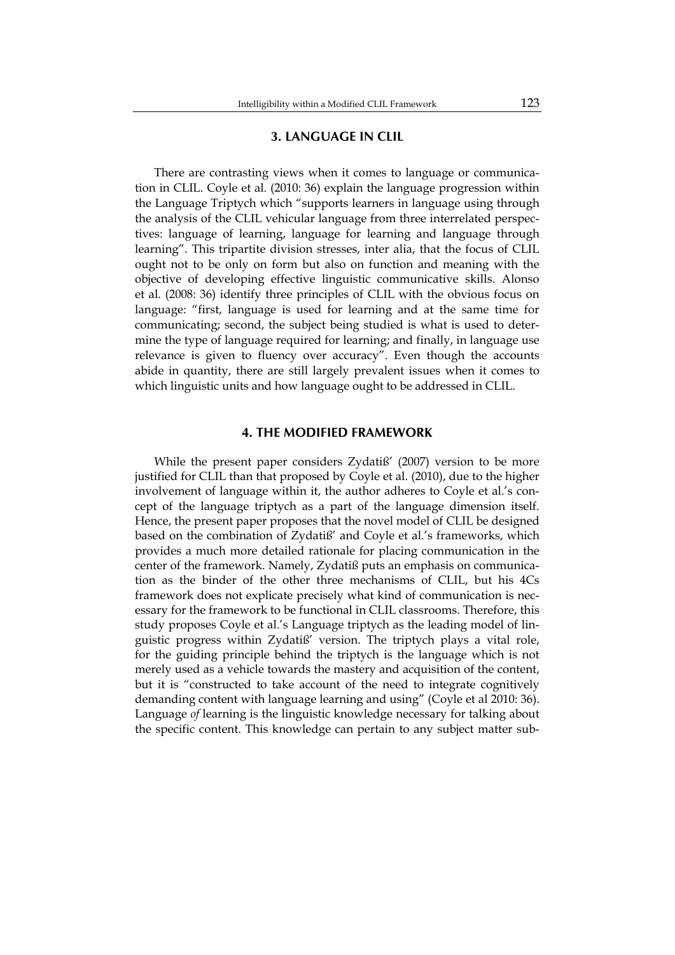#### **3. LANGUAGE IN CLIL**

There are contrasting views when it comes to language or communication in CLIL. Coyle et al. (2010: 36) explain the language progression within the Language Triptych which "supports learners in language using through the analysis of the CLIL vehicular language from three interrelated perspectives: language of learning, language for learning and language through learning". This tripartite division stresses, inter alia, that the focus of CLIL ought not to be only on form but also on function and meaning with the objective of developing effective linguistic communicative skills. Alonso et al. (2008: 36) identify three principles of CLIL with the obvious focus on language: "first, language is used for learning and at the same time for communicating; second, the subject being studied is what is used to determine the type of language required for learning; and finally, in language use relevance is given to fluency over accuracy". Even though the accounts abide in quantity, there are still largely prevalent issues when it comes to which linguistic units and how language ought to be addressed in CLIL.

#### **4. THE MODIFIED FRAMEWORK**

While the present paper considers Zydatiß' (2007) version to be more justified for CLIL than that proposed by Coyle et al. (2010), due to the higher involvement of language within it, the author adheres to Coyle et al.'s concept of the language triptych as a part of the language dimension itself. Hence, the present paper proposes that the novel model of CLIL be designed based on the combination of Zydatiß' and Coyle et al.'s frameworks, which provides a much more detailed rationale for placing communication in the center of the framework. Namely, Zydatiß puts an emphasis on communication as the binder of the other three mechanisms of CLIL, but his 4Cs framework does not explicate precisely what kind of communication is necessary for the framework to be functional in CLIL classrooms. Therefore, this study proposes Coyle et al.'s Language triptych as the leading model of linguistic progress within Zydatiß' version. The triptych plays a vital role, for the guiding principle behind the triptych is the language which is not merely used as a vehicle towards the mastery and acquisition of the content, but it is "constructed to take account of the need to integrate cognitively demanding content with language learning and using" (Coyle et al 2010: 36). Language *of* learning is the linguistic knowledge necessary for talking about the specific content. This knowledge can pertain to any subject matter sub-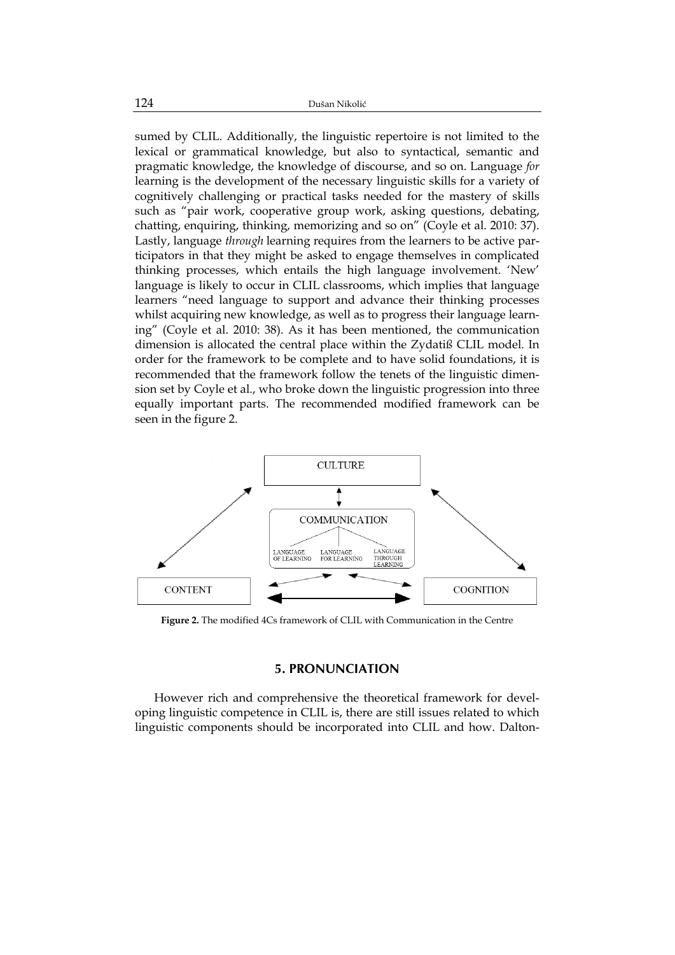sumed by CLIL. Additionally, the linguistic repertoire is not limited to the lexical or grammatical knowledge, but also to syntactical, semantic and pragmatic knowledge, the knowledge of discourse, and so on. Language *for*  learning is the development of the necessary linguistic skills for a variety of cognitively challenging or practical tasks needed for the mastery of skills such as "pair work, cooperative group work, asking questions, debating, chatting, enquiring, thinking, memorizing and so on" (Coyle et al. 2010: 37). Lastly, language *through* learning requires from the learners to be active participators in that they might be asked to engage themselves in complicated thinking processes, which entails the high language involvement. 'New' language is likely to occur in CLIL classrooms, which implies that language learners "need language to support and advance their thinking processes whilst acquiring new knowledge, as well as to progress their language learning" (Coyle et al. 2010: 38). As it has been mentioned, the communication dimension is allocated the central place within the Zydatiß CLIL model. In order for the framework to be complete and to have solid foundations, it is recommended that the framework follow the tenets of the linguistic dimension set by Coyle et al., who broke down the linguistic progression into three equally important parts. The recommended modified framework can be seen in the figure 2.



**Figure 2.** The modified 4Cs framework of CLIL with Communication in the Centre

#### **5. PRONUNCIATION**

However rich and comprehensive the theoretical framework for developing linguistic competence in CLIL is, there are still issues related to which linguistic components should be incorporated into CLIL and how. Dalton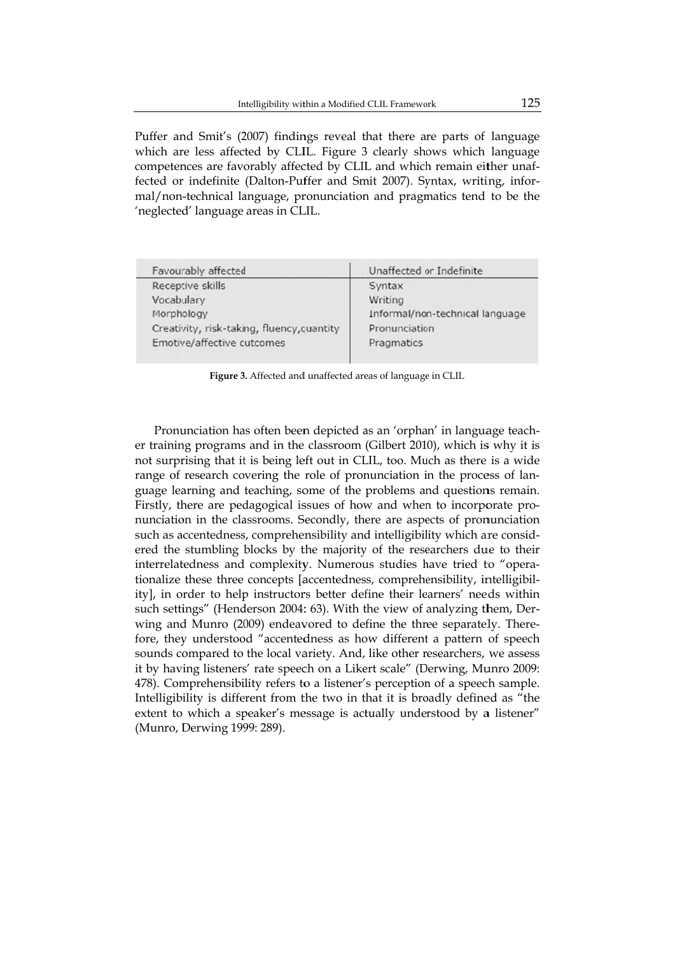Puffer and Smit's (2007) findings reveal that there are parts of language which are less affected by CLIL. Figure 3 clearly shows which language competences are favorably affected by CLIL and which remain either unaffected or indefinite (Dalton-Puffer and Smit 2007). Syntax, writing, informal/non-technical language, pronunciation and pragmatics tend to be the 'neglected d' language areas in CL LIL.

| Favourably affected                        | Unaffected or Indefinite        |
|--------------------------------------------|---------------------------------|
| Receptive skills                           | Syntax                          |
| Vocabulary                                 | Writing                         |
| Morphology                                 | Informal/non-technical language |
| Creativity, risk-taking, fluency, quantity | Pronunciation                   |
| Emotive/affective outcomes                 | Pragmatics                      |
|                                            |                                 |

**Figure 3.** Affected and unaffected areas of language in CLIL

Pronunciation has often been depicted as an 'orphan' in language teacher training programs and in the classroom (Gilbert 2010), which is why it is not surprising that it is being left out in CLIL, too. Much as there is a wide range of research covering the role of pronunciation in the process of language learning and teaching, some of the problems and questions remain. Firstly, there are pedagogical issues of how and when to incorporate pronunciation in the classrooms. Secondly, there are aspects of pronunciation such as accentedness, comprehensibility and intelligibility which are considered the stumbling blocks by the majority of the researchers due to their interrelatedness and complexity. Numerous studies have tried to "operationalize these three concepts [accentedness, comprehensibility, intelligibility], in order to help instructors better define their learners' needs within such settings" (Henderson 2004: 63). With the view of analyzing them, Derwing and Munro (2009) endeavored to define the three separately. Therefore, they understood "accentedness as how different a pattern of speech sounds compared to the local variety. And, like other researchers, we assess it by having listeners' rate speech on a Likert scale" (Derwing, Munro 2009: 478). Comprehensibility refers to a listener's perception of a speech sample. Intelligibility is different from the two in that it is broadly defined as "the extent to which a speaker's message is actually understood by a listener" (Munro, Derwing 1999: 289).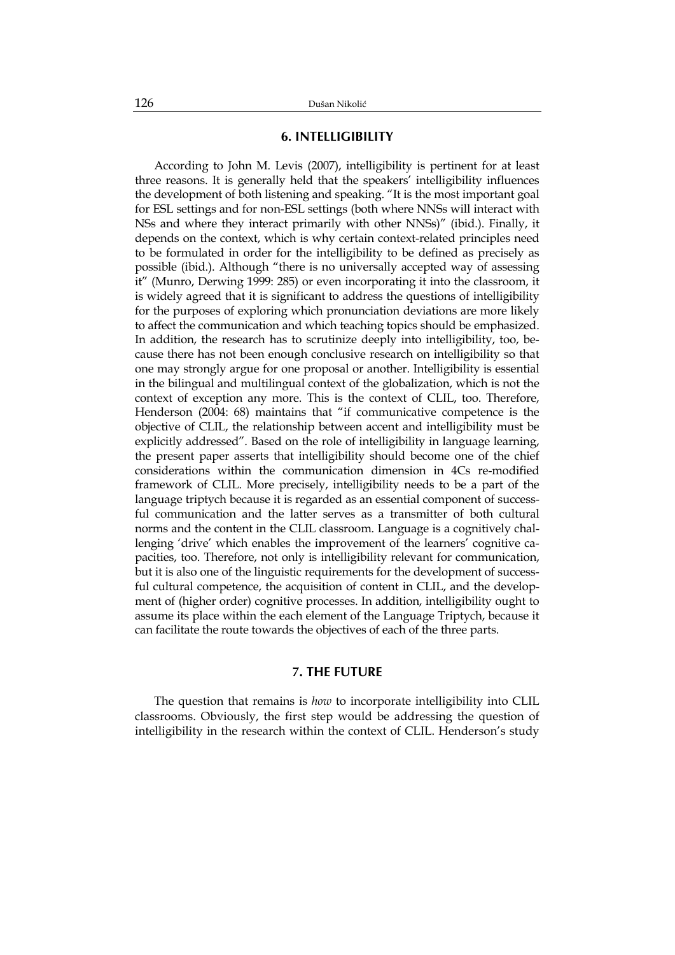### **6. INTELLIGIBILITY**

According to John M. Levis (2007), intelligibility is pertinent for at least three reasons. It is generally held that the speakers' intelligibility influences the development of both listening and speaking. "It is the most important goal for ESL settings and for non-ESL settings (both where NNSs will interact with NSs and where they interact primarily with other NNSs)" (ibid.). Finally, it depends on the context, which is why certain context-related principles need to be formulated in order for the intelligibility to be defined as precisely as possible (ibid.). Although "there is no universally accepted way of assessing it" (Munro, Derwing 1999: 285) or even incorporating it into the classroom, it is widely agreed that it is significant to address the questions of intelligibility for the purposes of exploring which pronunciation deviations are more likely to affect the communication and which teaching topics should be emphasized. In addition, the research has to scrutinize deeply into intelligibility, too, because there has not been enough conclusive research on intelligibility so that one may strongly argue for one proposal or another. Intelligibility is essential in the bilingual and multilingual context of the globalization, which is not the context of exception any more. This is the context of CLIL, too. Therefore, Henderson (2004: 68) maintains that "if communicative competence is the objective of CLIL, the relationship between accent and intelligibility must be explicitly addressed". Based on the role of intelligibility in language learning, the present paper asserts that intelligibility should become one of the chief considerations within the communication dimension in 4Cs re-modified framework of CLIL. More precisely, intelligibility needs to be a part of the language triptych because it is regarded as an essential component of successful communication and the latter serves as a transmitter of both cultural norms and the content in the CLIL classroom. Language is a cognitively challenging 'drive' which enables the improvement of the learners' cognitive capacities, too. Therefore, not only is intelligibility relevant for communication, but it is also one of the linguistic requirements for the development of successful cultural competence, the acquisition of content in CLIL, and the development of (higher order) cognitive processes. In addition, intelligibility ought to assume its place within the each element of the Language Triptych, because it can facilitate the route towards the objectives of each of the three parts.

### **7. THE FUTURE**

The question that remains is *how* to incorporate intelligibility into CLIL classrooms. Obviously, the first step would be addressing the question of intelligibility in the research within the context of CLIL. Henderson's study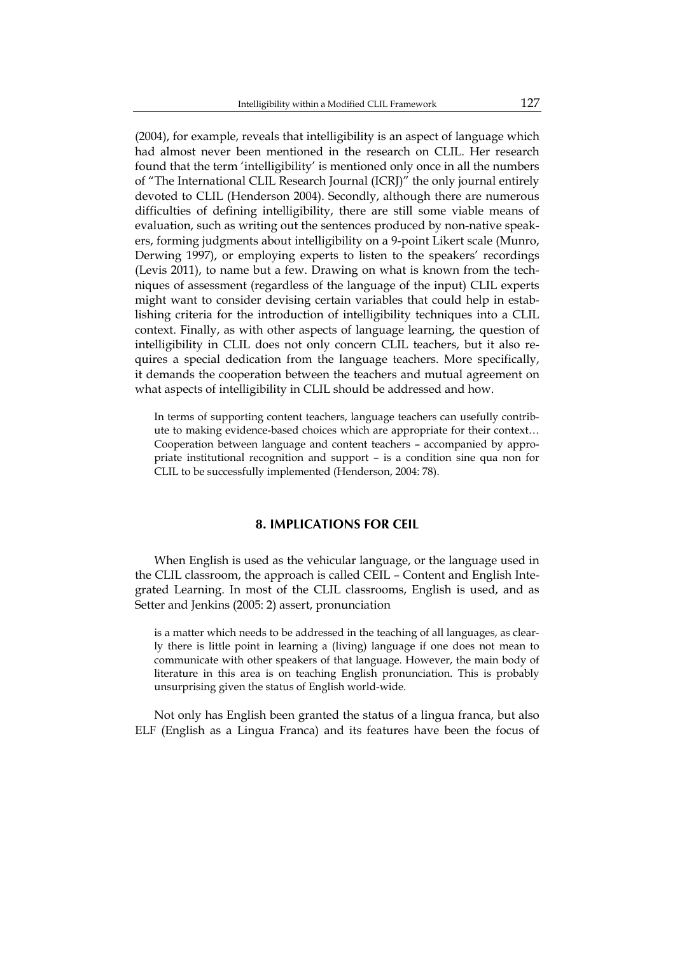(2004), for example, reveals that intelligibility is an aspect of language which had almost never been mentioned in the research on CLIL. Her research found that the term 'intelligibility' is mentioned only once in all the numbers of "The International CLIL Research Journal (ICRJ)" the only journal entirely devoted to CLIL (Henderson 2004). Secondly, although there are numerous difficulties of defining intelligibility, there are still some viable means of evaluation, such as writing out the sentences produced by non-native speakers, forming judgments about intelligibility on a 9-point Likert scale (Munro, Derwing 1997), or employing experts to listen to the speakers' recordings (Levis 2011), to name but a few. Drawing on what is known from the techniques of assessment (regardless of the language of the input) CLIL experts might want to consider devising certain variables that could help in establishing criteria for the introduction of intelligibility techniques into a CLIL context. Finally, as with other aspects of language learning, the question of intelligibility in CLIL does not only concern CLIL teachers, but it also requires a special dedication from the language teachers. More specifically, it demands the cooperation between the teachers and mutual agreement on what aspects of intelligibility in CLIL should be addressed and how.

In terms of supporting content teachers, language teachers can usefully contribute to making evidence-based choices which are appropriate for their context… Cooperation between language and content teachers – accompanied by appropriate institutional recognition and support – is a condition sine qua non for CLIL to be successfully implemented (Henderson, 2004: 78).

## **8. IMPLICATIONS FOR CEIL**

When English is used as the vehicular language, or the language used in the CLIL classroom, the approach is called CEIL – Content and English Integrated Learning. In most of the CLIL classrooms, English is used, and as Setter and Jenkins (2005: 2) assert, pronunciation

is a matter which needs to be addressed in the teaching of all languages, as clearly there is little point in learning a (living) language if one does not mean to communicate with other speakers of that language. However, the main body of literature in this area is on teaching English pronunciation. This is probably unsurprising given the status of English world-wide.

Not only has English been granted the status of a lingua franca, but also ELF (English as a Lingua Franca) and its features have been the focus of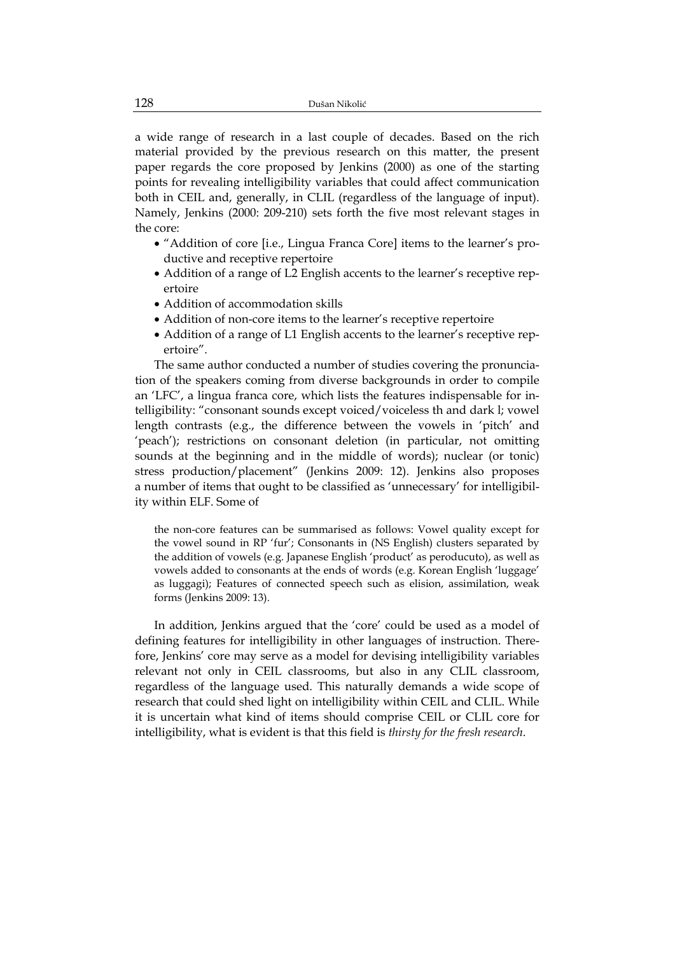a wide range of research in a last couple of decades. Based on the rich material provided by the previous research on this matter, the present paper regards the core proposed by Jenkins (2000) as one of the starting points for revealing intelligibility variables that could affect communication both in CEIL and, generally, in CLIL (regardless of the language of input). Namely, Jenkins (2000: 209-210) sets forth the five most relevant stages in the core:

- "Addition of core [i.e., Lingua Franca Core] items to the learner's productive and receptive repertoire
- Addition of a range of L2 English accents to the learner's receptive repertoire
- Addition of accommodation skills
- Addition of non-core items to the learner's receptive repertoire
- Addition of a range of L1 English accents to the learner's receptive repertoire".

The same author conducted a number of studies covering the pronunciation of the speakers coming from diverse backgrounds in order to compile an 'LFC', a lingua franca core, which lists the features indispensable for intelligibility: "consonant sounds except voiced/voiceless th and dark l; vowel length contrasts (e.g., the difference between the vowels in 'pitch' and 'peach'); restrictions on consonant deletion (in particular, not omitting sounds at the beginning and in the middle of words); nuclear (or tonic) stress production/placement" (Jenkins 2009: 12). Jenkins also proposes a number of items that ought to be classified as 'unnecessary' for intelligibility within ELF. Some of

the non-core features can be summarised as follows: Vowel quality except for the vowel sound in RP 'fur'; Consonants in (NS English) clusters separated by the addition of vowels (e.g. Japanese English 'product' as peroducuto), as well as vowels added to consonants at the ends of words (e.g. Korean English 'luggage' as luggagi); Features of connected speech such as elision, assimilation, weak forms (Jenkins 2009: 13).

In addition, Jenkins argued that the 'core' could be used as a model of defining features for intelligibility in other languages of instruction. Therefore, Jenkins' core may serve as a model for devising intelligibility variables relevant not only in CEIL classrooms, but also in any CLIL classroom, regardless of the language used. This naturally demands a wide scope of research that could shed light on intelligibility within CEIL and CLIL. While it is uncertain what kind of items should comprise CEIL or CLIL core for intelligibility, what is evident is that this field is *thirsty for the fresh research*.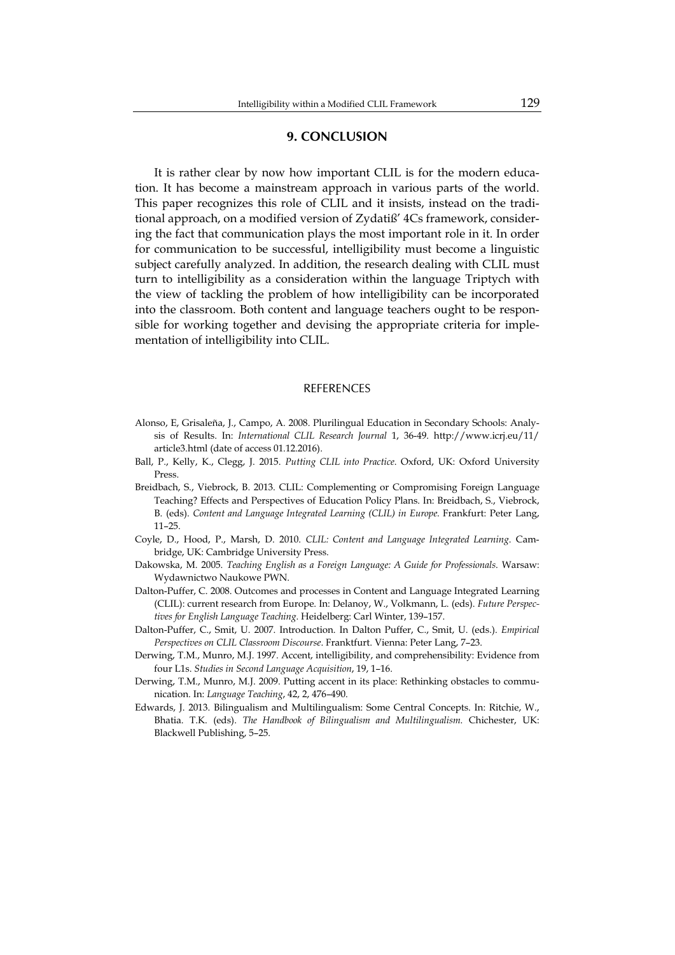#### **9. CONCLUSION**

It is rather clear by now how important CLIL is for the modern education. It has become a mainstream approach in various parts of the world. This paper recognizes this role of CLIL and it insists, instead on the traditional approach, on a modified version of Zydatiß' 4Cs framework, considering the fact that communication plays the most important role in it. In order for communication to be successful, intelligibility must become a linguistic subject carefully analyzed. In addition, the research dealing with CLIL must turn to intelligibility as a consideration within the language Triptych with the view of tackling the problem of how intelligibility can be incorporated into the classroom. Both content and language teachers ought to be responsible for working together and devising the appropriate criteria for implementation of intelligibility into CLIL.

#### REFERENCES

- Alonso, E, Grisaleña, J., Campo, A. 2008. Plurilingual Education in Secondary Schools: Analysis of Results. In: *International CLIL Research Journal* 1, 36-49. http://www.icrj.eu/11/ article3.html (date of access 01.12.2016).
- Ball, P., Kelly, K., Clegg, J. 2015. *Putting CLIL into Practice*. Oxford, UK: Oxford University Press.
- Breidbach, S., Viebrock, B. 2013. CLIL: Complementing or Compromising Foreign Language Teaching? Effects and Perspectives of Education Policy Plans. In: Breidbach, S., Viebrock, B. (eds). *Content and Language Integrated Learning (CLIL) in Europe.* Frankfurt: Peter Lang, 11–25.
- Coyle, D., Hood, P., Marsh, D. 2010. *CLIL: Content and Language Integrated Learning*. Cambridge, UK: Cambridge University Press.
- Dakowska, M. 2005. *Teaching English as a Foreign Language: A Guide for Professionals*. Warsaw: Wydawnictwo Naukowe PWN.
- Dalton-Puffer, C. 2008. Outcomes and processes in Content and Language Integrated Learning (CLIL): current research from Europe. In: Delanoy, W., Volkmann, L. (eds). *Future Perspectives for English Language Teaching*. Heidelberg: Carl Winter, 139–157.
- Dalton-Puffer, C., Smit, U. 2007. Introduction. In Dalton Puffer, C., Smit, U. (eds.). *Empirical Perspectives on CLIL Classroom Discourse*. Franktfurt. Vienna: Peter Lang, 7–23.
- Derwing, T.M., Munro, M.J. 1997. Accent, intelligibility, and comprehensibility: Evidence from four L1s. *Studies in Second Language Acquisition*, 19, 1–16.
- Derwing, T.M., Munro, M.J. 2009. Putting accent in its place: Rethinking obstacles to communication. In: *Language Teaching*, 42, 2, 476–490.
- Edwards, J. 2013. Bilingualism and Multilingualism: Some Central Concepts. In: Ritchie, W., Bhatia. T.K. (eds). *The Handbook of Bilingualism and Multilingualism*. Chichester, UK: Blackwell Publishing, 5–25.